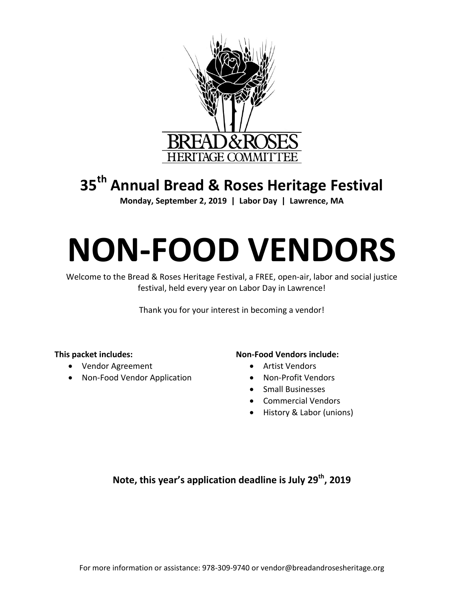

# **35 th Annual Bread & Roses Heritage Festival**

**Monday, September 2, 2019 | Labor Day | Lawrence, MA**

# **NON-FOOD VENDORS**

Welcome to the Bread & Roses Heritage Festival, a FREE, open-air, labor and social justice festival, held every year on Labor Day in Lawrence!

Thank you for your interest in becoming a vendor!

#### **This packet includes:**

- Vendor Agreement
- Non-Food Vendor Application

#### **Non-Food Vendors include:**

- Artist Vendors
- Non-Profit Vendors
- Small Businesses
- Commercial Vendors
- History & Labor (unions)

#### **Note, this year's application deadline is July 29th, 2019**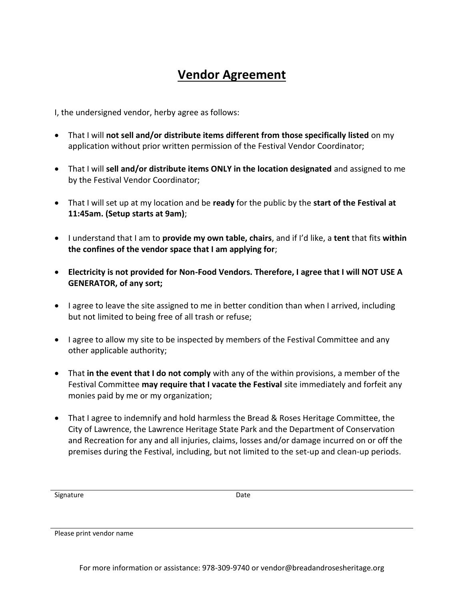# **Vendor Agreement**

I, the undersigned vendor, herby agree as follows:

- That I will **not sell and/or distribute items different from those specifically listed** on my application without prior written permission of the Festival Vendor Coordinator;
- That I will **sell and/or distribute items ONLY in the location designated** and assigned to me by the Festival Vendor Coordinator;
- That I will set up at my location and be **ready** for the public by the **start of the Festival at 11:45am. (Setup starts at 9am)**;
- I understand that I am to **provide my own table, chairs**, and if I'd like, a **tent** that fits **within the confines of the vendor space that I am applying for**;
- **Electricity is not provided for Non-Food Vendors. Therefore, I agree that I will NOT USE A GENERATOR, of any sort;**
- I agree to leave the site assigned to me in better condition than when I arrived, including but not limited to being free of all trash or refuse;
- I agree to allow my site to be inspected by members of the Festival Committee and any other applicable authority;
- That **in the event that I do not comply** with any of the within provisions, a member of the Festival Committee **may require that I vacate the Festival** site immediately and forfeit any monies paid by me or my organization;
- That I agree to indemnify and hold harmless the Bread & Roses Heritage Committee, the City of Lawrence, the Lawrence Heritage State Park and the Department of Conservation and Recreation for any and all injuries, claims, losses and/or damage incurred on or off the premises during the Festival, including, but not limited to the set-up and clean-up periods.

Signature Date Date

Please print vendor name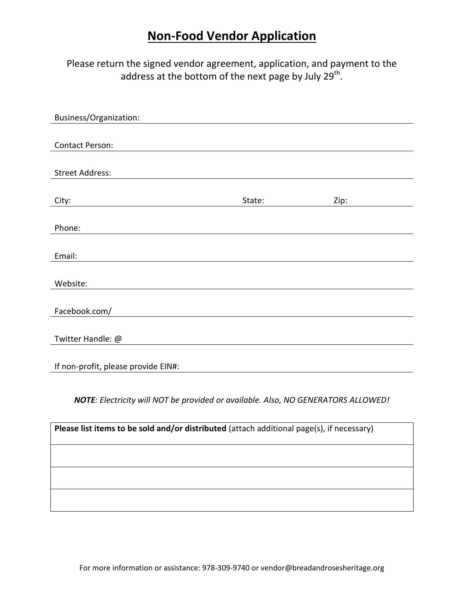## **Non-Food Vendor Application**

Please return the signed vendor agreement, application, and payment to the address at the bottom of the next page by July 29<sup>th</sup>.

| Business/Organization:              |        |      |
|-------------------------------------|--------|------|
|                                     |        |      |
| <b>Contact Person:</b>              |        |      |
|                                     |        |      |
| <b>Street Address:</b>              |        |      |
|                                     |        |      |
| City:                               | State: | Zip: |
|                                     |        |      |
| Phone:                              |        |      |
|                                     |        |      |
| Email:                              |        |      |
|                                     |        |      |
| Website:                            |        |      |
|                                     |        |      |
| Facebook.com/                       |        |      |
|                                     |        |      |
| Twitter Handle: @                   |        |      |
|                                     |        |      |
| If non-profit, please provide EIN#: |        |      |
|                                     |        |      |

*NOTE: Electricity will NOT be provided or available. Also, NO GENERATORS ALLOWED!*

| Please list items to be sold and/or distributed (attach additional page(s), if necessary) |  |  |  |
|-------------------------------------------------------------------------------------------|--|--|--|
|                                                                                           |  |  |  |
|                                                                                           |  |  |  |
|                                                                                           |  |  |  |